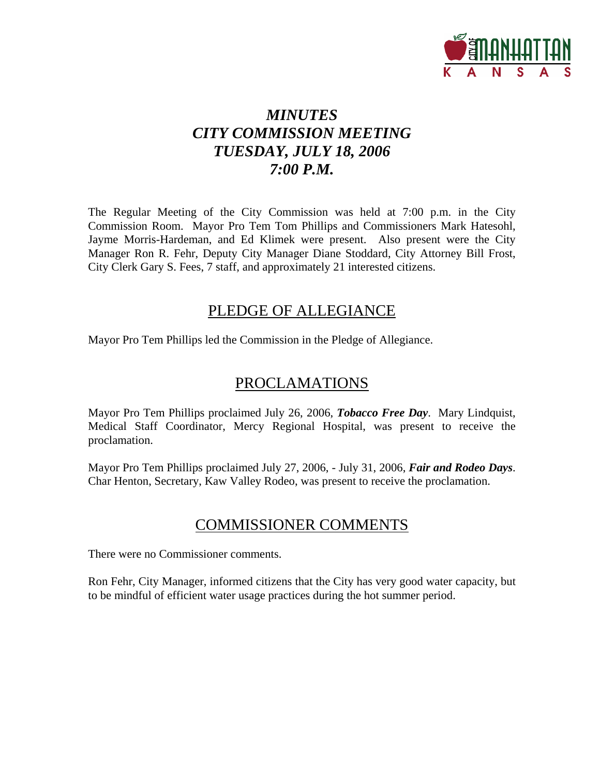

# *MINUTES CITY COMMISSION MEETING TUESDAY, JULY 18, 2006 7:00 P.M.*

The Regular Meeting of the City Commission was held at 7:00 p.m. in the City Commission Room. Mayor Pro Tem Tom Phillips and Commissioners Mark Hatesohl, Jayme Morris-Hardeman, and Ed Klimek were present. Also present were the City Manager Ron R. Fehr, Deputy City Manager Diane Stoddard, City Attorney Bill Frost, City Clerk Gary S. Fees, 7 staff, and approximately 21 interested citizens.

## PLEDGE OF ALLEGIANCE

Mayor Pro Tem Phillips led the Commission in the Pledge of Allegiance.

## PROCLAMATIONS

Mayor Pro Tem Phillips proclaimed July 26, 2006, *Tobacco Free Day*. Mary Lindquist, Medical Staff Coordinator, Mercy Regional Hospital, was present to receive the proclamation.

Mayor Pro Tem Phillips proclaimed July 27, 2006, - July 31, 2006, *Fair and Rodeo Days*. Char Henton, Secretary, Kaw Valley Rodeo, was present to receive the proclamation.

## COMMISSIONER COMMENTS

There were no Commissioner comments.

Ron Fehr, City Manager, informed citizens that the City has very good water capacity, but to be mindful of efficient water usage practices during the hot summer period.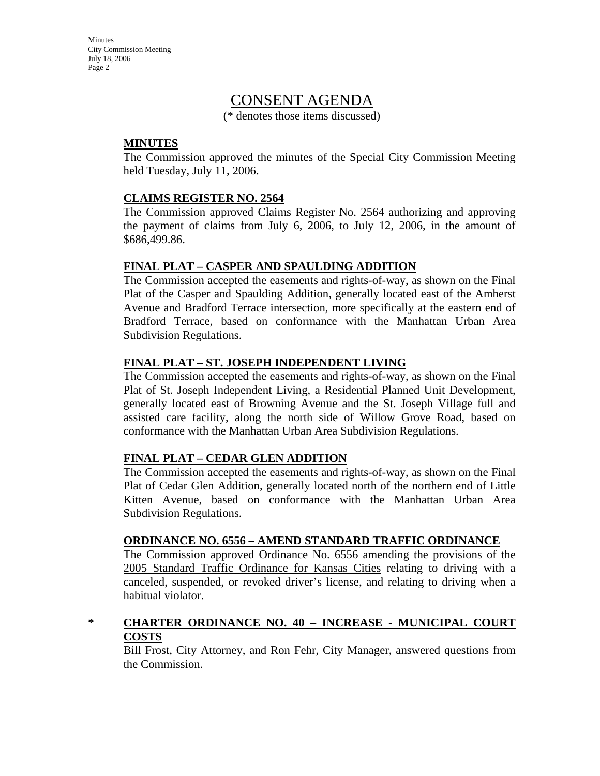**Minutes** City Commission Meeting July 18, 2006 Page 2

## CONSENT AGENDA

(\* denotes those items discussed)

#### **MINUTES**

The Commission approved the minutes of the Special City Commission Meeting held Tuesday, July 11, 2006.

#### **CLAIMS REGISTER NO. 2564**

The Commission approved Claims Register No. 2564 authorizing and approving the payment of claims from July 6, 2006, to July 12, 2006, in the amount of \$686,499.86.

#### **FINAL PLAT – CASPER AND SPAULDING ADDITION**

The Commission accepted the easements and rights-of-way, as shown on the Final Plat of the Casper and Spaulding Addition, generally located east of the Amherst Avenue and Bradford Terrace intersection, more specifically at the eastern end of Bradford Terrace, based on conformance with the Manhattan Urban Area Subdivision Regulations.

#### **FINAL PLAT – ST. JOSEPH INDEPENDENT LIVING**

The Commission accepted the easements and rights-of-way, as shown on the Final Plat of St. Joseph Independent Living, a Residential Planned Unit Development, generally located east of Browning Avenue and the St. Joseph Village full and assisted care facility, along the north side of Willow Grove Road, based on conformance with the Manhattan Urban Area Subdivision Regulations.

#### **FINAL PLAT – CEDAR GLEN ADDITION**

The Commission accepted the easements and rights-of-way, as shown on the Final Plat of Cedar Glen Addition, generally located north of the northern end of Little Kitten Avenue, based on conformance with the Manhattan Urban Area Subdivision Regulations.

#### **ORDINANCE NO. 6556 – AMEND STANDARD TRAFFIC ORDINANCE**

The Commission approved Ordinance No. 6556 amending the provisions of the 2005 Standard Traffic Ordinance for Kansas Cities relating to driving with a canceled, suspended, or revoked driver's license, and relating to driving when a habitual violator.

#### **\* CHARTER ORDINANCE NO. 40 – INCREASE - MUNICIPAL COURT COSTS**

Bill Frost, City Attorney, and Ron Fehr, City Manager, answered questions from the Commission.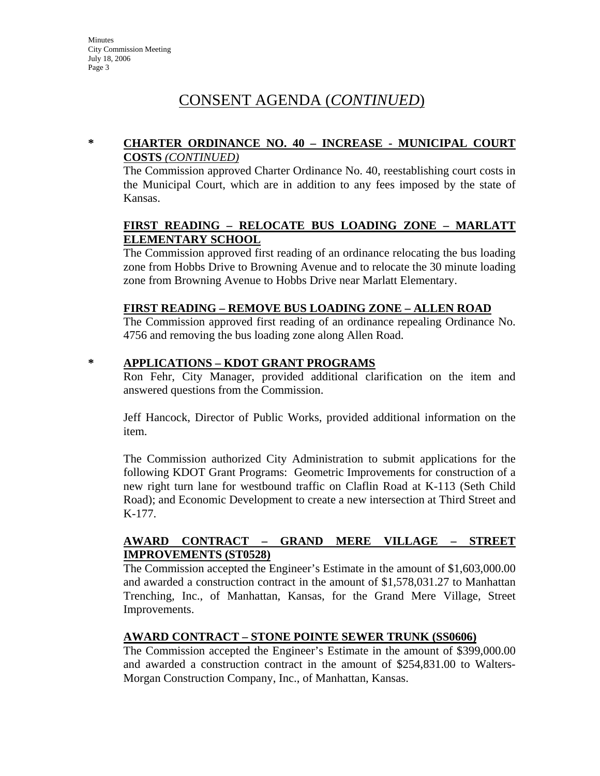## CONSENT AGENDA (*CONTINUED*)

#### **\* CHARTER ORDINANCE NO. 40 – INCREASE - MUNICIPAL COURT COSTS** *(CONTINUED)*

The Commission approved Charter Ordinance No. 40, reestablishing court costs in the Municipal Court, which are in addition to any fees imposed by the state of Kansas.

#### **FIRST READING – RELOCATE BUS LOADING ZONE – MARLATT ELEMENTARY SCHOOL**

The Commission approved first reading of an ordinance relocating the bus loading zone from Hobbs Drive to Browning Avenue and to relocate the 30 minute loading zone from Browning Avenue to Hobbs Drive near Marlatt Elementary.

#### **FIRST READING – REMOVE BUS LOADING ZONE – ALLEN ROAD**

The Commission approved first reading of an ordinance repealing Ordinance No. 4756 and removing the bus loading zone along Allen Road.

#### **\* APPLICATIONS – KDOT GRANT PROGRAMS**

Ron Fehr, City Manager, provided additional clarification on the item and answered questions from the Commission.

Jeff Hancock, Director of Public Works, provided additional information on the item.

The Commission authorized City Administration to submit applications for the following KDOT Grant Programs: Geometric Improvements for construction of a new right turn lane for westbound traffic on Claflin Road at K-113 (Seth Child Road); and Economic Development to create a new intersection at Third Street and K-177.

#### **AWARD CONTRACT – GRAND MERE VILLAGE – STREET IMPROVEMENTS (ST0528)**

The Commission accepted the Engineer's Estimate in the amount of \$1,603,000.00 and awarded a construction contract in the amount of \$1,578,031.27 to Manhattan Trenching, Inc., of Manhattan, Kansas, for the Grand Mere Village, Street Improvements.

#### **AWARD CONTRACT – STONE POINTE SEWER TRUNK (SS0606)**

The Commission accepted the Engineer's Estimate in the amount of \$399,000.00 and awarded a construction contract in the amount of \$254,831.00 to Walters-Morgan Construction Company, Inc., of Manhattan, Kansas.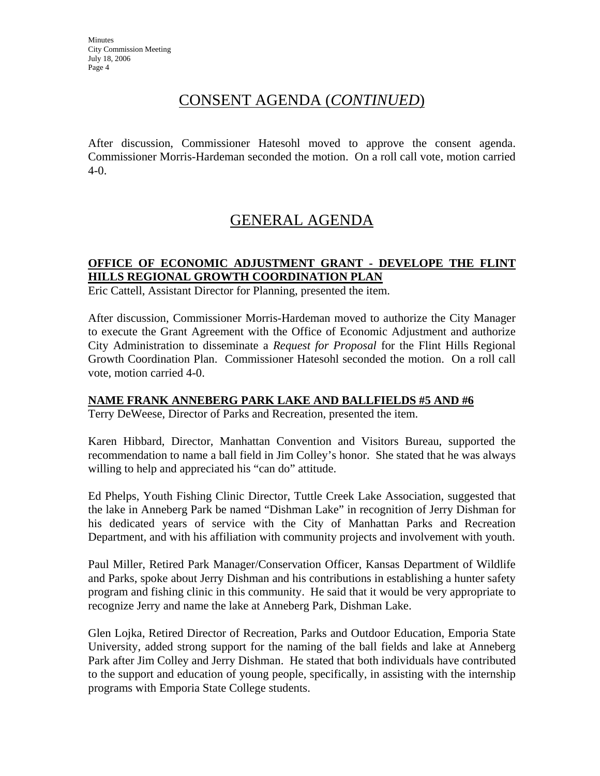**Minutes** City Commission Meeting July 18, 2006 Page 4

## CONSENT AGENDA (*CONTINUED*)

After discussion, Commissioner Hatesohl moved to approve the consent agenda. Commissioner Morris-Hardeman seconded the motion. On a roll call vote, motion carried 4-0.

# GENERAL AGENDA

### **OFFICE OF ECONOMIC ADJUSTMENT GRANT - DEVELOPE THE FLINT HILLS REGIONAL GROWTH COORDINATION PLAN**

Eric Cattell, Assistant Director for Planning, presented the item.

After discussion, Commissioner Morris-Hardeman moved to authorize the City Manager to execute the Grant Agreement with the Office of Economic Adjustment and authorize City Administration to disseminate a *Request for Proposal* for the Flint Hills Regional Growth Coordination Plan. Commissioner Hatesohl seconded the motion. On a roll call vote, motion carried 4-0.

#### **NAME FRANK ANNEBERG PARK LAKE AND BALLFIELDS #5 AND #6**

Terry DeWeese, Director of Parks and Recreation, presented the item.

Karen Hibbard, Director, Manhattan Convention and Visitors Bureau, supported the recommendation to name a ball field in Jim Colley's honor. She stated that he was always willing to help and appreciated his "can do" attitude.

Ed Phelps, Youth Fishing Clinic Director, Tuttle Creek Lake Association, suggested that the lake in Anneberg Park be named "Dishman Lake" in recognition of Jerry Dishman for his dedicated years of service with the City of Manhattan Parks and Recreation Department, and with his affiliation with community projects and involvement with youth.

Paul Miller, Retired Park Manager/Conservation Officer, Kansas Department of Wildlife and Parks, spoke about Jerry Dishman and his contributions in establishing a hunter safety program and fishing clinic in this community. He said that it would be very appropriate to recognize Jerry and name the lake at Anneberg Park, Dishman Lake.

Glen Lojka, Retired Director of Recreation, Parks and Outdoor Education, Emporia State University, added strong support for the naming of the ball fields and lake at Anneberg Park after Jim Colley and Jerry Dishman. He stated that both individuals have contributed to the support and education of young people, specifically, in assisting with the internship programs with Emporia State College students.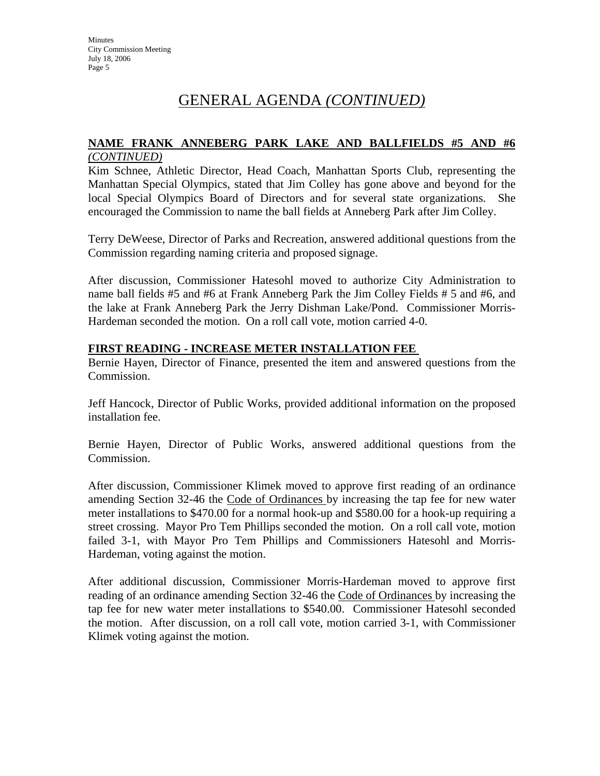## GENERAL AGENDA *(CONTINUED)*

#### **NAME FRANK ANNEBERG PARK LAKE AND BALLFIELDS #5 AND #6** *(CONTINUED)*

Kim Schnee, Athletic Director, Head Coach, Manhattan Sports Club, representing the Manhattan Special Olympics, stated that Jim Colley has gone above and beyond for the local Special Olympics Board of Directors and for several state organizations. She encouraged the Commission to name the ball fields at Anneberg Park after Jim Colley.

Terry DeWeese, Director of Parks and Recreation, answered additional questions from the Commission regarding naming criteria and proposed signage.

After discussion, Commissioner Hatesohl moved to authorize City Administration to name ball fields #5 and #6 at Frank Anneberg Park the Jim Colley Fields # 5 and #6, and the lake at Frank Anneberg Park the Jerry Dishman Lake/Pond. Commissioner Morris-Hardeman seconded the motion. On a roll call vote, motion carried 4-0.

#### **FIRST READING - INCREASE METER INSTALLATION FEE**

Bernie Hayen, Director of Finance, presented the item and answered questions from the Commission.

Jeff Hancock, Director of Public Works, provided additional information on the proposed installation fee.

Bernie Hayen, Director of Public Works, answered additional questions from the Commission.

After discussion, Commissioner Klimek moved to approve first reading of an ordinance amending Section 32-46 the Code of Ordinances by increasing the tap fee for new water meter installations to \$470.00 for a normal hook-up and \$580.00 for a hook-up requiring a street crossing. Mayor Pro Tem Phillips seconded the motion. On a roll call vote, motion failed 3-1, with Mayor Pro Tem Phillips and Commissioners Hatesohl and Morris-Hardeman, voting against the motion.

After additional discussion, Commissioner Morris-Hardeman moved to approve first reading of an ordinance amending Section 32-46 the Code of Ordinances by increasing the tap fee for new water meter installations to \$540.00. Commissioner Hatesohl seconded the motion. After discussion, on a roll call vote, motion carried 3-1, with Commissioner Klimek voting against the motion.